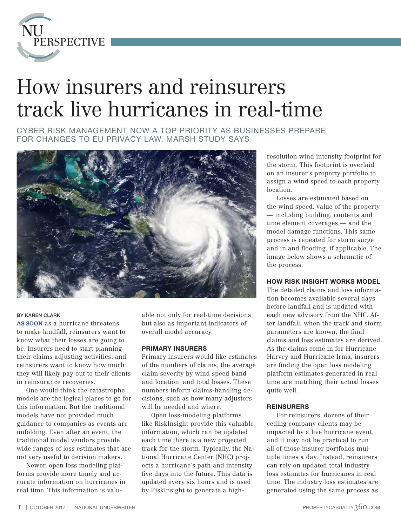

# How insurers and reinsurers track live hurricanes in real-time

CYBER RISK MANAGEMENT NOW A TOP PRIORITY AS BUSINESSES PREPARE FOR CHANGES TO EU PRIVACY LAW, MARSH STUDY SAYS



### BY KAREN CLARK

**AS SOON** as a hurricane threatens to make landfall, reinsurers want to know what their losses are going to be. Insurers need to start planning their claims adjusting activities, and reinsurers want to know how much they will likely pay out to their clients in reinsurance recoveries.

One would think the catastrophe models are the logical places to go for this information. But the traditional models have not provided much guidance to companies as events are unfolding. Even after an event, the traditional model vendors provide wide ranges of loss estimates that are not very useful to decision makers.

Newer, open loss modeling platforms provide more timely and accurate information on hurricanes in real time. This information is valuable not only for real-time decisions but also as important indicators of overall model accuracy.

### PRIMARY INSURERS

Primary insurers would like estimates of the numbers of claims, the average claim severity by wind speed band and location, and total losses. These numbers inform claims-handling decisions, such as how many adjusters will be needed and where.

Open loss-modeling platforms like RiskInsight provide this valuable information, which can be updated each time there is a new projected track for the storm. Typically, the National Hurricane Center (NHC) projects a hurricane's path and intensity five days into the future. This data is updated every six hours and is used by RiskInsight to generate a highresolution wind intensity footprint for the storm. This footprint is overlaid on an insurer's property portfolio to assign a wind speed to each property location.

Losses are estimated based on the wind speed, value of the property — including building, contents and time element coverages — and the model damage functions. This same process is repeated for storm surge and inland flooding, if applicable. The image below shows a schematic of the process.

### HOW RISK INSIGHT WORKS MODEL

The detailed claims and loss information becomes available several days before landfall and is updated with each new advisory from the NHC. After landfall, when the track and storm parameters are known, the final claims and loss estimates are derived. As the claims come in for Hurricane Harvey and Hurricane Irma, insurers are finding the open loss modeling platform estimates generated in real time are matching their actual losses quite well.

#### **REINSURERS**

For reinsurers, dozens of their ceding company clients may be impacted by a live hurricane event, and it may not be practical to run all of those insurer portfolios multiple times a day. Instead, reinsurers can rely on updated total industry loss estimates for hurricanes in real time. The industry loss estimates are generated using the same process as